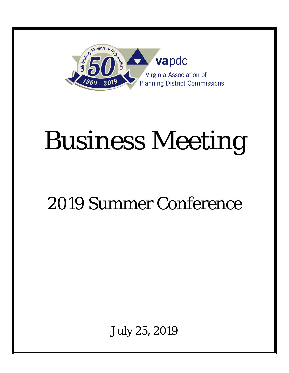

# Business Meeting

# 2019 Summer Conference

July 25, 2019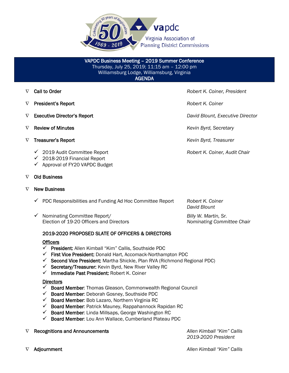

VAPDC Business Meeting – 2019 Summer Conference Thursday, July 25, 2019; 11:15 am – 12:00 pm Williamsburg Lodge, Williamsburg, Virginia AGENDA

- ∇ Call to Order *Robert K. Coiner, President*
- ∇ President's Report *Robert K. Coiner*
- 
- ∇ Review of Minutes *Kevin Byrd, Secretary*
- ∇ Treasurer's Report *Kevin Byrd, Treasurer*
	- 2019 Audit Committee Report *Robert K. Coiner, Audit Chair*
	- $\checkmark$  2018-2019 Financial Report
	- $\checkmark$  Approval of FY20 VAPDC Budget

#### ∇ Old Business

#### $\nabla$  New Business

 PDC Responsibilities and Funding Ad Hoc Committee Report *Robert K. Coiner David Blount* Nominating Committee Report/ *Billy W. Martin, Sr.*

Election of 19-20 Officers and Directors *Nominating Committee Chair*

#### 2019-2020 PROPOSED SLATE OF OFFICERS & DIRECTORS

#### **Officers**

- $\checkmark$  President: Allen Kimball "Kim" Callis, Southside PDC
- $\checkmark$  First Vice President: Donald Hart, Accomack-Northampton PDC
- $\checkmark$  Second Vice President: Martha Shickle, Plan RVA (Richmond Regional PDC)
- $\checkmark$  Secretary/Treasurer: Kevin Byrd, New River Valley RC
- $\checkmark$  Immediate Past President: Robert K. Coiner

#### **Directors**

- $\checkmark$  Board Member: Thomas Gleason, Commonwealth Regional Council
- $\checkmark$  Board Member: Deborah Gosney, Southside PDC
- $\checkmark$  Board Member: Bob Lazaro, Northern Virginia RC
- $\checkmark$  Board Member: Patrick Mauney, Rappahannock Rapidan RC
- $\checkmark$  Board Member: Linda Millsaps, George Washington RC
- $\checkmark$  Board Member: Lou Ann Wallace, Cumberland Plateau PDC
- ∇ Recognitions and Announcements *Allen Kimball "Kim" Callis*

*2019-2020 President*

∇ Adjournment *Allen Kimball "Kim" Callis*

∇ Executive Director's Report *David Blount, Executive Director*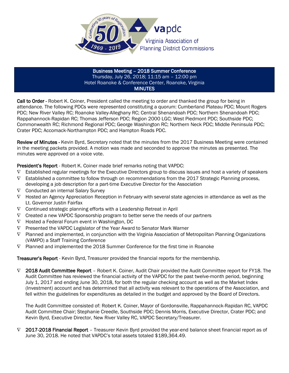

#### Business Meeting – 2018 Summer Conference Thursday, July 26, 2018; 11:15 am – 12:00 pm Hotel Roanoke & Conference Center, Roanoke, Virginia **MINUTES**

Call to Order - Robert K. Coiner, President called the meeting to order and thanked the group for being in attendance. The following PDCs were represented constituting a quorum: Cumberland Plateau PDC; Mount Rogers PDC; New River Valley RC; Roanoke Valley-Alleghany RC; Central Shenandoah PDC; Northern Shenandoah PDC; Rappahannock-Rapidan RC; Thomas Jefferson PDC; Region 2000 LGC; West Piedmont PDC; Southside PDC; Commonwealth RC; Richmond Regional PDC; George Washington RC; Northern Neck PDC; Middle Peninsula PDC; Crater PDC; Accomack-Northampton PDC; and Hampton Roads PDC.

Review of Minutes - Kevin Byrd, Secretary noted that the minutes from the 2017 Business Meeting were contained in the meeting packets provided. A motion was made and seconded to approve the minutes as presented. The minutes were approved on a voice vote.

President's Report - Robert K. Coiner made brief remarks noting that VAPDC:

- ∇ Established regular meetings for the Executive Directors group to discuss issues and host a variety of speakers
- ∇ Established a committee to follow through on recommendations from the 2017 Strategic Planning process, developing a job description for a part-time Executive Director for the Association
- ∇ Conducted an internal Salary Survey
- ∇ Hosted an Agency Appreciation Reception in February with several state agencies in attendance as well as the Lt. Governor Justin Fairfax
- ∇ Continued strategic planning efforts with a Leadership Retreat in April
- $\nabla$  Created a new VAPDC Sponsorship program to better serve the needs of our partners
- $\nabla$  Hosted a Federal Forum event in Washington, DC
- ∇ Presented the VAPDC Legislator of the Year Award to Senator Mark Warner
- ∇ Planned and implemented, in conjunction with the Virginia Association of Metropolitan Planning Organizations (VAMPO) a Staff Training Conference
- ∇ Planned and implemented the 2018 Summer Conference for the first time in Roanoke

Treasurer's Report - Kevin Byrd, Treasurer provided the financial reports for the membership.

∇ 2018 Audit Committee Report – Robert K. Coiner, Audit Chair provided the Audit Committee report for FY18. The Audit Committee has reviewed the financial activity of the VAPDC for the past twelve-month period, beginning July 1, 2017 and ending June 30, 2018, for both the regular checking account as well as the Market Index (Investment) account and has determined that all activity was relevant to the operations of the Association, and fell within the guidelines for expenditures as detailed in the budget and approved by the Board of Directors.

The Audit Committee consisted of: Robert K. Coiner, Mayor of Gordonsville, Rappahannock-Rapidan RC, VAPDC Audit Committee Chair; Stephanie Creedle, Southside PDC; Dennis Morris, Executive Director, Crater PDC; and Kevin Byrd, Executive Director, New River Valley RC, VAPDC Secretary/Treasurer.

 $\nabla$  2017-2018 Financial Report – Treasurer Kevin Byrd provided the year-end balance sheet financial report as of June 30, 2018. He noted that VAPDC's total assets totaled \$189,364.49.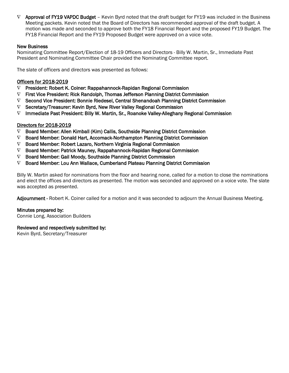$\nabla$  Approval of FY19 VAPDC Budget – Kevin Byrd noted that the draft budget for FY19 was included in the Business Meeting packets. Kevin noted that the Board of Directors has recommended approval of the draft budget. A motion was made and seconded to approve both the FY18 Financial Report and the proposed FY19 Budget. The FY18 Financial Report and the FY19 Proposed Budget were approved on a voice vote.

#### New Business

Nominating Committee Report/Election of 18-19 Officers and Directors - Billy W. Martin, Sr., Immediate Past President and Nominating Committee Chair provided the Nominating Committee report.

The slate of officers and directors was presented as follows:

#### Officers for 2018-2019

- $\nabla$  President: Robert K. Coiner: Rappahannock-Rapidan Regional Commission
- $\nabla$  First Vice President: Rick Randolph, Thomas Jefferson Planning District Commission
- ∇ Second Vice President: Bonnie Riedesel, Central Shenandoah Planning District Commission
- ∇ Secretary/Treasurer: Kevin Byrd, New River Valley Regional Commission
- $\nabla$  Immediate Past President: Billy W. Martin, Sr., Roanoke Valley-Alleghany Regional Commission

#### Directors for 2018-2019

- $\nabla$  Board Member: Allen Kimball (Kim) Callis, Southside Planning District Commission
- $\nabla$  Board Member: Donald Hart, Accomack-Northampton Planning District Commission
- ∇ Board Member: Robert Lazaro, Northern Virginia Regional Commission
- $\nabla$  Board Member: Patrick Mauney, Rappahannock-Rapidan Regional Commission
- $\nabla$  Board Member: Gail Moody, Southside Planning District Commission
- $\nabla$  Board Member: Lou Ann Wallace, Cumberland Plateau Planning District Commission

Billy W. Martin asked for nominations from the floor and hearing none, called for a motion to close the nominations and elect the offices and directors as presented. The motion was seconded and approved on a voice vote. The slate was accepted as presented.

Adjournment - Robert K. Coiner called for a motion and it was seconded to adjourn the Annual Business Meeting.

#### Minutes prepared by:

Connie Long, Association Builders

#### Reviewed and respectively submitted by:

Kevin Byrd, Secretary/Treasurer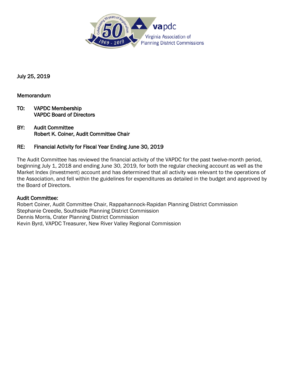

July 25, 2019

#### Memorandum

- TO: VAPDC Membership VAPDC Board of Directors
- BY: Audit Committee Robert K. Coiner, Audit Committee Chair

#### RE: Financial Activity for Fiscal Year Ending June 30, 2019

The Audit Committee has reviewed the financial activity of the VAPDC for the past twelve-month period, beginning July 1, 2018 and ending June 30, 2019, for both the regular checking account as well as the Market Index (Investment) account and has determined that all activity was relevant to the operations of the Association, and fell within the guidelines for expenditures as detailed in the budget and approved by the Board of Directors.

#### Audit Committee:

Robert Coiner, Audit Committee Chair, Rappahannock-Rapidan Planning District Commission Stephanie Creedle, Southside Planning District Commission Dennis Morris, Crater Planning District Commission Kevin Byrd, VAPDC Treasurer, New River Valley Regional Commission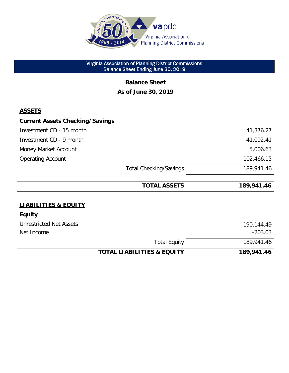

 Virginia Association of Planning District Commissions Balance Sheet Ending June 30, 2019

> **Balance Sheet As of June 30, 2019**

#### **ASSETS**

| <b>Current Assets Checking/Savings</b> |                               |            |
|----------------------------------------|-------------------------------|------------|
| Investment CD - 15 month               |                               | 41,376.27  |
| Investment CD - 9 month                |                               | 41,092.41  |
| Money Market Account                   |                               | 5,006.63   |
| <b>Operating Account</b>               |                               | 102,466.15 |
|                                        | <b>Total Checking/Savings</b> | 189,941.46 |

|                                       | <b>TOTAL ASSETS</b> | 189,941.46 |
|---------------------------------------|---------------------|------------|
|                                       |                     |            |
| <b>LIABILITIES &amp; EQUITY</b>       |                     |            |
| <b>Equity</b>                         |                     |            |
| <b>Unrestricted Net Assets</b>        |                     | 190,144.49 |
| Net Income                            |                     | $-203.03$  |
|                                       | <b>Total Equity</b> | 189,941.46 |
| <b>TOTAL LIABILITIES &amp; EQUITY</b> |                     | 189,941.46 |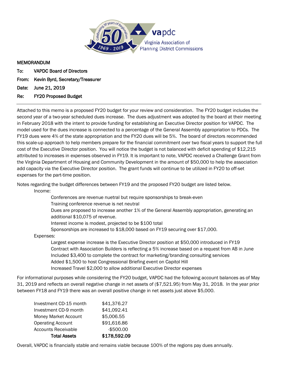

## MEMORANDUM

- To: VAPDC Board of Directors
- From: Kevin Byrd, Secretary/Treasurer<br>Date: June 21, 2019
- Date: June 21, 2019<br>Re: FY20 Proposed

#### FY20 Proposed Budget

Attached to this memo is a proposed FY20 budget for your review and consideration. The FY20 budget includes the second year of a two-year scheduled dues increase. The dues adjustment was adopted by the board at their meeting in February 2018 with the intent to provide funding for establishing an Executive Director position for VAPDC. The model used for the dues increase is connected to a percentage of the General Assembly appropriation to PDCs. The FY19 dues were 4% of the state appropriation and the FY20 dues will be 5%. The board of directors recommended this scale-up approach to help members prepare for the financial commitment over two fiscal years to support the full cost of the Executive Director position. You will notice the budget is not balanced with deficit spending of \$12,215 attributed to increases in expenses observed in FY19. It is important to note, VAPDC received a Challenge Grant from the Virginia Department of Housing and Community Development in the amount of \$50,000 to help the association add capacity via the Executive Director position. The grant funds will continue to be utilized in FY20 to off-set expenses for the part-time position.

Notes regarding the budget differences between FY19 and the proposed FY20 budget are listed below. Income:

Conferences are revenue nuetral but require sponsorships to break-even

Training conference revenue is net neutral

Dues are proposed to increase another 1% of the General Assembly appropriation, generating an additional \$10,075 of revenue.

Interest income is modest, projected to be \$100 total

Sponsorships are increased to \$18,000 based on FY19 securing over \$17,000.

Expenses:

Largest expense increase is the Executive Director position at \$50,000 introduced in FY19 Contract with Association Builders is reflecting a 5% increase based on a request from AB in June Included \$3,400 to complete the contract for marketing/branding consulting services Added \$1,500 to host Congressional Briefing event on Capitol Hill Increased Travel \$2,000 to allow additional Executive Director expenses

For informational purposes while considering the FY20 budget, VAPDC had the following account balances as of May 31, 2019 and reflects an overall negative change in net assets of (\$7,521.95) from May 31, 2018. In the year prior between FY18 and FY19 there was an overall positive change in net assets just above \$5,000.

| <b>Total Assets</b>         | \$178,592.09 |
|-----------------------------|--------------|
| <b>Accounts Receivable</b>  | $-$500.00$   |
| <b>Operating Account</b>    | \$91,616.86  |
| <b>Money Market Account</b> | \$5,006.55   |
| Investment CD-9 month       | \$41,092.41  |
| Investment CD-15 month      | \$41,376.27  |

Overall, VAPDC is financially stable and remains viable because 100% of the regions pay dues annually.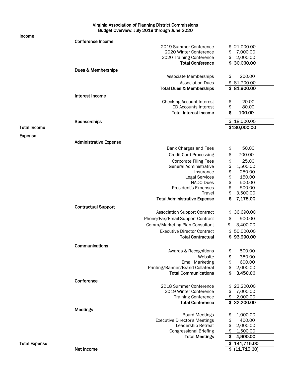#### Virginia Association of Planning District Commissions Budget Overview: July 2019 through June 2020

| Income               |                                                                 |                      |
|----------------------|-----------------------------------------------------------------|----------------------|
|                      | <b>Conference Income</b>                                        |                      |
|                      | 2019 Summer Conference                                          | 21,000.00            |
|                      | 2020 Winter Conference                                          | 7,000.00             |
|                      | 2020 Training Conference                                        | 2,000.00             |
|                      | <b>Total Conference</b>                                         | \$ 30,000.00         |
|                      | Dues & Memberships                                              |                      |
|                      |                                                                 |                      |
|                      | Associate Memberships                                           | \$<br>200.00         |
|                      | <b>Association Dues</b>                                         | \$81,700.00          |
|                      | <b>Total Dues &amp; Memberships</b>                             | \$81,900.00          |
|                      | Interest Income                                                 |                      |
|                      | <b>Checking Account Interest</b>                                | \$<br>20.00          |
|                      | <b>CD Accounts Interest</b>                                     | \$<br>80.00          |
|                      | <b>Total Interest Income</b>                                    | \$<br>100.00         |
|                      |                                                                 |                      |
|                      | Sponsorships                                                    | \$18,000.00          |
| <b>Total Income</b>  |                                                                 | \$130,000.00         |
|                      |                                                                 |                      |
| <b>Expense</b>       |                                                                 |                      |
|                      | <b>Administrative Expense</b>                                   |                      |
|                      | Bank Charges and Fees                                           | \$<br>50.00          |
|                      | <b>Credit Card Processing</b>                                   | \$<br>700.00         |
|                      | <b>Corporate Filing Fees</b>                                    | \$<br>25.00          |
|                      | <b>General Administrative</b>                                   | 1,500.00             |
|                      | Insurance                                                       | \$\$\$\$\$<br>250.00 |
|                      | <b>Legal Services</b>                                           | 150.00               |
|                      | NADO Dues                                                       | 500.00               |
|                      |                                                                 | 500.00               |
|                      | President's Expenses<br>Travel                                  | \$                   |
|                      |                                                                 | 3,500.00             |
|                      | <b>Total Administrative Expense</b>                             | \$<br>7,175.00       |
|                      | <b>Contractual Support</b>                                      |                      |
|                      | <b>Association Support Contract</b>                             | 36,690.00<br>\$      |
|                      | Phone/Fax/Email-Support Contract                                | 900.00<br>\$         |
|                      |                                                                 |                      |
|                      | Comm/Marketing Plan Consultant                                  | \$<br>3,400.00       |
|                      | <b>Executive Director Contract</b>                              | \$50,000.00          |
|                      | <b>Total Contractual</b>                                        | 93,990.00            |
|                      | Communications                                                  |                      |
|                      | Awards & Recognitions                                           | \$<br>500.00         |
|                      | Website                                                         | 350.00               |
|                      |                                                                 | \$                   |
|                      | <b>Email Marketing</b>                                          | \$<br>600.00         |
|                      | Printing/Banner/Brand Collateral<br><b>Total Communications</b> | \$<br>2,000.00       |
|                      |                                                                 | \$<br>3,450.00       |
|                      | Conference                                                      |                      |
|                      | 2018 Summer Conference                                          | 23,200.00            |
|                      | 2019 Winter Conference                                          | 7,000.00             |
|                      | <b>Training Conference</b>                                      | \$<br>2,000.00       |
|                      | <b>Total Conference</b>                                         | 32,200.00<br>\$      |
|                      | <b>Meetings</b>                                                 |                      |
|                      |                                                                 |                      |
|                      | <b>Board Meetings</b>                                           | 1,000.00<br>\$       |
|                      | <b>Executive Director's Meetings</b>                            | \$<br>400.00         |
|                      | Leadership Retreat                                              | \$<br>2,000.00       |
|                      | <b>Congressional Briefing</b>                                   | 1,500.00             |
|                      | <b>Total Meetings</b>                                           | 4,900.00             |
| <b>Total Expense</b> |                                                                 | \$141,715.00         |
|                      | Net Income                                                      | \$ (11,715.00)       |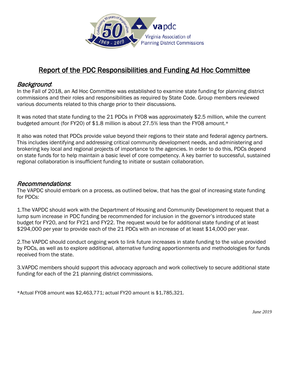

### Report of the PDC Responsibilities and Funding Ad Hoc Committee

#### Background:

In the Fall of 2018, an Ad Hoc Committee was established to examine state funding for planning district commissions and their roles and responsibilities as required by State Code. Group members reviewed various documents related to this charge prior to their discussions.

It was noted that state funding to the 21 PDCs in FY08 was approximately \$2.5 million, while the current budgeted amount (for FY20) of \$1.8 million is about 27.5% less than the FY08 amount.\*

It also was noted that PDCs provide value beyond their regions to their state and federal agency partners. This includes identifying and addressing critical community development needs, and administering and brokering key local and regional projects of importance to the agencies. In order to do this, PDCs depend on state funds for to help maintain a basic level of core competency. A key barrier to successful, sustained regional collaboration is insufficient funding to initiate or sustain collaboration.

#### Recommendations:

The VAPDC should embark on a process, as outlined below, that has the goal of increasing state funding for PDCs:

1.The VAPDC should work with the Department of Housing and Community Development to request that a lump sum increase in PDC funding be recommended for inclusion in the governor's introduced state budget for FY20, and for FY21 and FY22. The request would be for additional state funding of at least \$294,000 per year to provide each of the 21 PDCs with an increase of at least \$14,000 per year.

2.The VAPDC should conduct ongoing work to link future increases in state funding to the value provided by PDCs, as well as to explore additional, alternative funding apportionments and methodologies for funds received from the state.

3.VAPDC members should support this advocacy approach and work collectively to secure additional state funding for each of the 21 planning district commissions.

\*Actual FY08 amount was \$2,463,771; actual FY20 amount is \$1,785,321.

*June 2019*